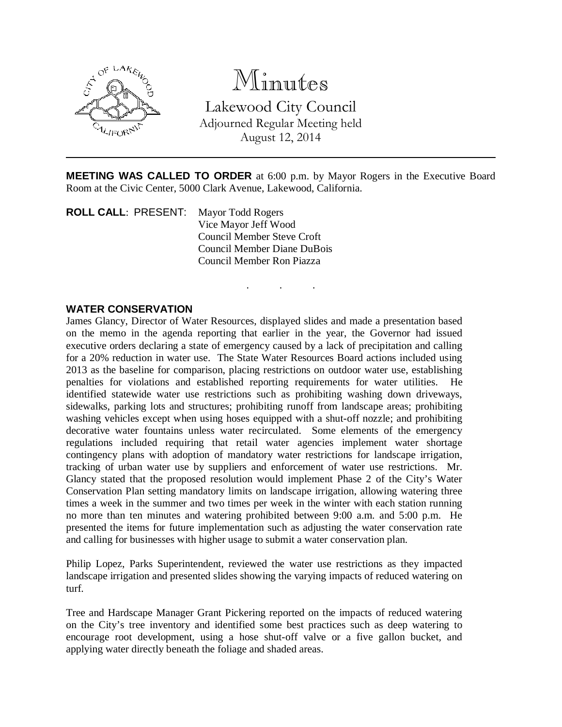

## Minutes

Lakewood City Council Adjourned Regular Meeting held August 12, 2014

**MEETING WAS CALLED TO ORDER** at 6:00 p.m. by Mayor Rogers in the Executive Board Room at the Civic Center, 5000 Clark Avenue, Lakewood, California.

. . .

**ROLL CALL**: PRESENT: Mayor Todd Rogers Vice Mayor Jeff Wood Council Member Steve Croft Council Member Diane DuBois Council Member Ron Piazza

## **WATER CONSERVATION**

James Glancy, Director of Water Resources, displayed slides and made a presentation based on the memo in the agenda reporting that earlier in the year, the Governor had issued executive orders declaring a state of emergency caused by a lack of precipitation and calling for a 20% reduction in water use. The State Water Resources Board actions included using 2013 as the baseline for comparison, placing restrictions on outdoor water use, establishing penalties for violations and established reporting requirements for water utilities. He identified statewide water use restrictions such as prohibiting washing down driveways, sidewalks, parking lots and structures; prohibiting runoff from landscape areas; prohibiting washing vehicles except when using hoses equipped with a shut-off nozzle; and prohibiting decorative water fountains unless water recirculated. Some elements of the emergency regulations included requiring that retail water agencies implement water shortage contingency plans with adoption of mandatory water restrictions for landscape irrigation, tracking of urban water use by suppliers and enforcement of water use restrictions. Mr. Glancy stated that the proposed resolution would implement Phase 2 of the City's Water Conservation Plan setting mandatory limits on landscape irrigation, allowing watering three times a week in the summer and two times per week in the winter with each station running no more than ten minutes and watering prohibited between 9:00 a.m. and 5:00 p.m. He presented the items for future implementation such as adjusting the water conservation rate and calling for businesses with higher usage to submit a water conservation plan.

Philip Lopez, Parks Superintendent, reviewed the water use restrictions as they impacted landscape irrigation and presented slides showing the varying impacts of reduced watering on turf.

Tree and Hardscape Manager Grant Pickering reported on the impacts of reduced watering on the City's tree inventory and identified some best practices such as deep watering to encourage root development, using a hose shut-off valve or a five gallon bucket, and applying water directly beneath the foliage and shaded areas.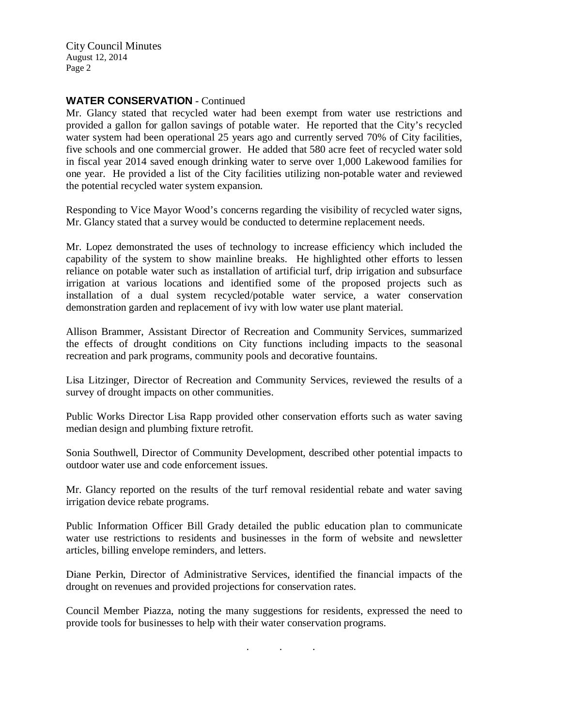City Council Minutes August 12, 2014 Page 2

## **WATER CONSERVATION** - Continued

Mr. Glancy stated that recycled water had been exempt from water use restrictions and provided a gallon for gallon savings of potable water. He reported that the City's recycled water system had been operational 25 years ago and currently served 70% of City facilities, five schools and one commercial grower. He added that 580 acre feet of recycled water sold in fiscal year 2014 saved enough drinking water to serve over 1,000 Lakewood families for one year. He provided a list of the City facilities utilizing non-potable water and reviewed the potential recycled water system expansion.

Responding to Vice Mayor Wood's concerns regarding the visibility of recycled water signs, Mr. Glancy stated that a survey would be conducted to determine replacement needs.

Mr. Lopez demonstrated the uses of technology to increase efficiency which included the capability of the system to show mainline breaks. He highlighted other efforts to lessen reliance on potable water such as installation of artificial turf, drip irrigation and subsurface irrigation at various locations and identified some of the proposed projects such as installation of a dual system recycled/potable water service, a water conservation demonstration garden and replacement of ivy with low water use plant material.

Allison Brammer, Assistant Director of Recreation and Community Services, summarized the effects of drought conditions on City functions including impacts to the seasonal recreation and park programs, community pools and decorative fountains.

Lisa Litzinger, Director of Recreation and Community Services, reviewed the results of a survey of drought impacts on other communities.

Public Works Director Lisa Rapp provided other conservation efforts such as water saving median design and plumbing fixture retrofit.

Sonia Southwell, Director of Community Development, described other potential impacts to outdoor water use and code enforcement issues.

Mr. Glancy reported on the results of the turf removal residential rebate and water saving irrigation device rebate programs.

Public Information Officer Bill Grady detailed the public education plan to communicate water use restrictions to residents and businesses in the form of website and newsletter articles, billing envelope reminders, and letters.

Diane Perkin, Director of Administrative Services, identified the financial impacts of the drought on revenues and provided projections for conservation rates.

Council Member Piazza, noting the many suggestions for residents, expressed the need to provide tools for businesses to help with their water conservation programs.

. . .